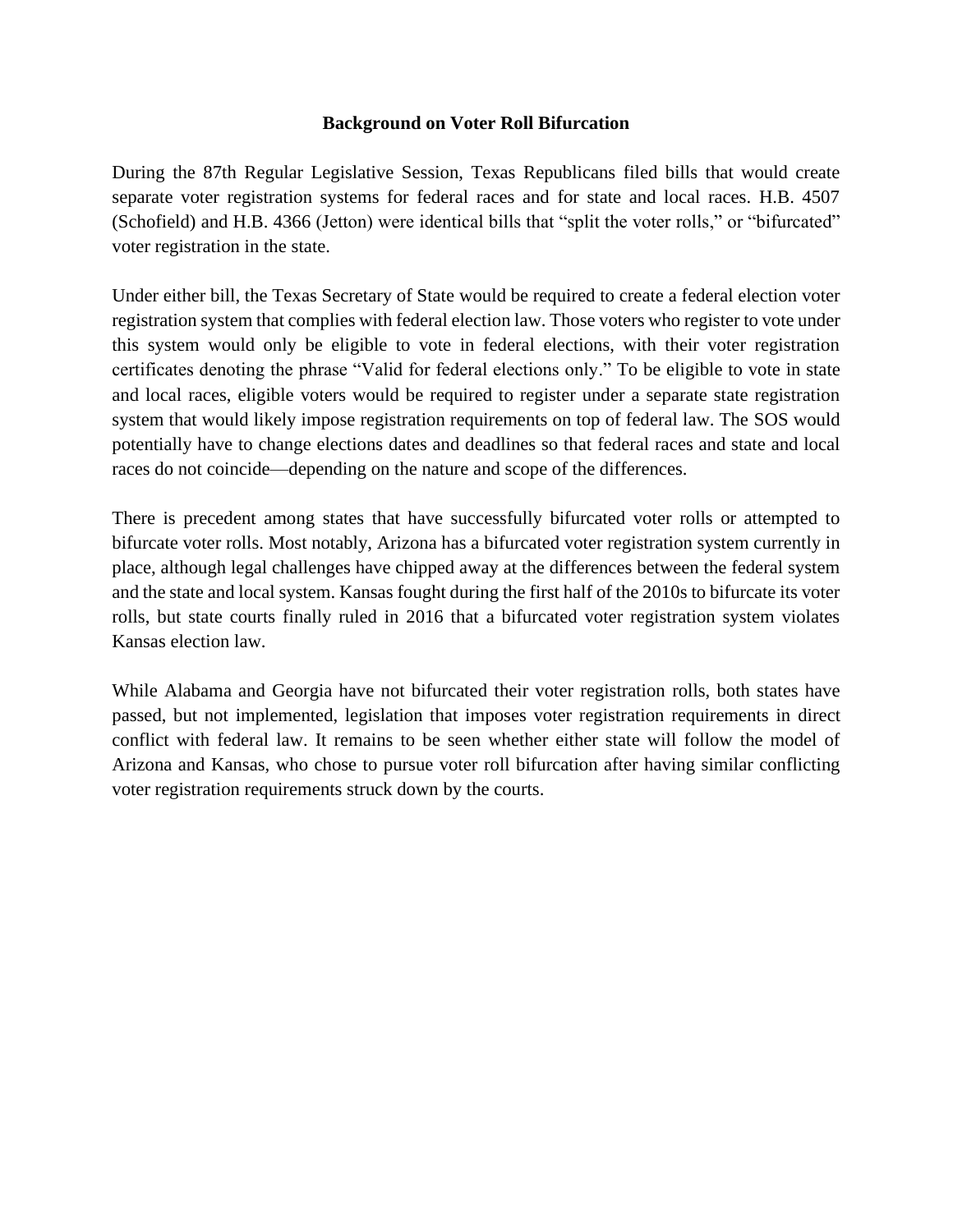### **Background on Voter Roll Bifurcation**

During the 87th Regular Legislative Session, Texas Republicans filed bills that would create separate voter registration systems for federal races and for state and local races. H.B. 4507 (Schofield) and H.B. 4366 (Jetton) were identical bills that "split the voter rolls," or "bifurcated" voter registration in the state.

Under either bill, the Texas Secretary of State would be required to create a federal election voter registration system that complies with federal election law. Those voters who register to vote under this system would only be eligible to vote in federal elections, with their voter registration certificates denoting the phrase "Valid for federal elections only." To be eligible to vote in state and local races, eligible voters would be required to register under a separate state registration system that would likely impose registration requirements on top of federal law. The SOS would potentially have to change elections dates and deadlines so that federal races and state and local races do not coincide—depending on the nature and scope of the differences.

There is precedent among states that have successfully bifurcated voter rolls or attempted to bifurcate voter rolls. Most notably, Arizona has a bifurcated voter registration system currently in place, although legal challenges have chipped away at the differences between the federal system and the state and local system. Kansas fought during the first half of the 2010s to bifurcate its voter rolls, but state courts finally ruled in 2016 that a bifurcated voter registration system violates Kansas election law.

While Alabama and Georgia have not bifurcated their voter registration rolls, both states have passed, but not implemented, legislation that imposes voter registration requirements in direct conflict with federal law. It remains to be seen whether either state will follow the model of Arizona and Kansas, who chose to pursue voter roll bifurcation after having similar conflicting voter registration requirements struck down by the courts.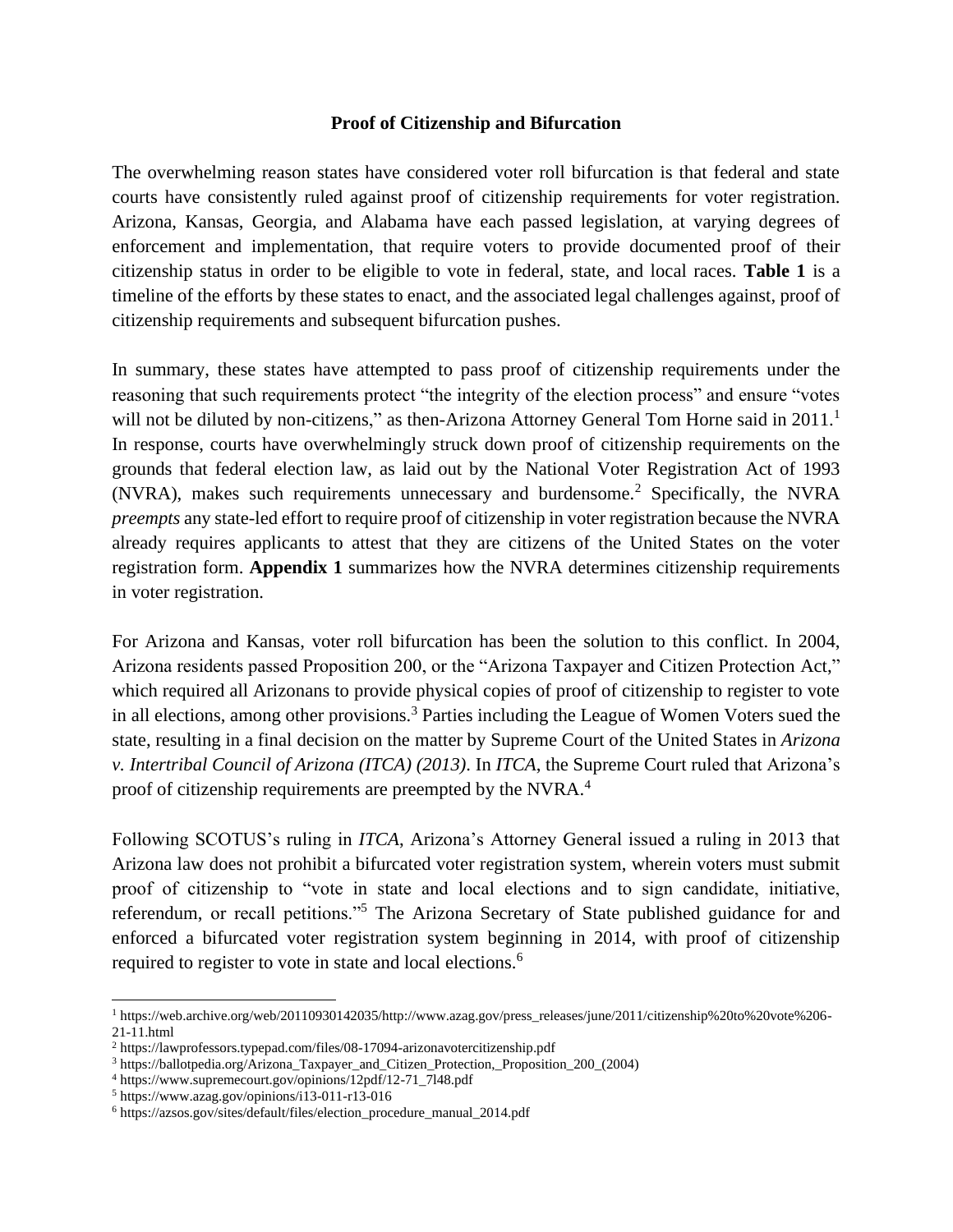#### **Proof of Citizenship and Bifurcation**

The overwhelming reason states have considered voter roll bifurcation is that federal and state courts have consistently ruled against proof of citizenship requirements for voter registration. Arizona, Kansas, Georgia, and Alabama have each passed legislation, at varying degrees of enforcement and implementation, that require voters to provide documented proof of their citizenship status in order to be eligible to vote in federal, state, and local races. **Table 1** is a timeline of the efforts by these states to enact, and the associated legal challenges against, proof of citizenship requirements and subsequent bifurcation pushes.

In summary, these states have attempted to pass proof of citizenship requirements under the reasoning that such requirements protect "the integrity of the election process" and ensure "votes will not be diluted by non-citizens," as then-Arizona Attorney General Tom Horne said in 2011.<sup>1</sup> In response, courts have overwhelmingly struck down proof of citizenship requirements on the grounds that federal election law, as laid out by the National Voter Registration Act of 1993 (NVRA), makes such requirements unnecessary and burdensome.<sup>2</sup> Specifically, the NVRA *preempts* any state-led effort to require proof of citizenship in voter registration because the NVRA already requires applicants to attest that they are citizens of the United States on the voter registration form. **Appendix 1** summarizes how the NVRA determines citizenship requirements in voter registration.

For Arizona and Kansas, voter roll bifurcation has been the solution to this conflict. In 2004, Arizona residents passed Proposition 200, or the "Arizona Taxpayer and Citizen Protection Act," which required all Arizonans to provide physical copies of proof of citizenship to register to vote in all elections, among other provisions.<sup>3</sup> Parties including the League of Women Voters sued the state, resulting in a final decision on the matter by Supreme Court of the United States in *Arizona v. Intertribal Council of Arizona (ITCA) (2013)*. In *ITCA*, the Supreme Court ruled that Arizona's proof of citizenship requirements are preempted by the NVRA.<sup>4</sup>

Following SCOTUS's ruling in *ITCA*, Arizona's Attorney General issued a ruling in 2013 that Arizona law does not prohibit a bifurcated voter registration system, wherein voters must submit proof of citizenship to "vote in state and local elections and to sign candidate, initiative, referendum, or recall petitions."<sup>5</sup> The Arizona Secretary of State published guidance for and enforced a bifurcated voter registration system beginning in 2014, with proof of citizenship required to register to vote in state and local elections.<sup>6</sup>

<sup>1</sup> https://web.archive.org/web/20110930142035/http://www.azag.gov/press\_releases/june/2011/citizenship%20to%20vote%206- 21-11.html

<sup>2</sup> https://lawprofessors.typepad.com/files/08-17094-arizonavotercitizenship.pdf

<sup>3</sup> https://ballotpedia.org/Arizona\_Taxpayer\_and\_Citizen\_Protection,\_Proposition\_200\_(2004)

<sup>4</sup> https://www.supremecourt.gov/opinions/12pdf/12-71\_7l48.pdf

<sup>5</sup> https://www.azag.gov/opinions/i13-011-r13-016

<sup>6</sup> https://azsos.gov/sites/default/files/election\_procedure\_manual\_2014.pdf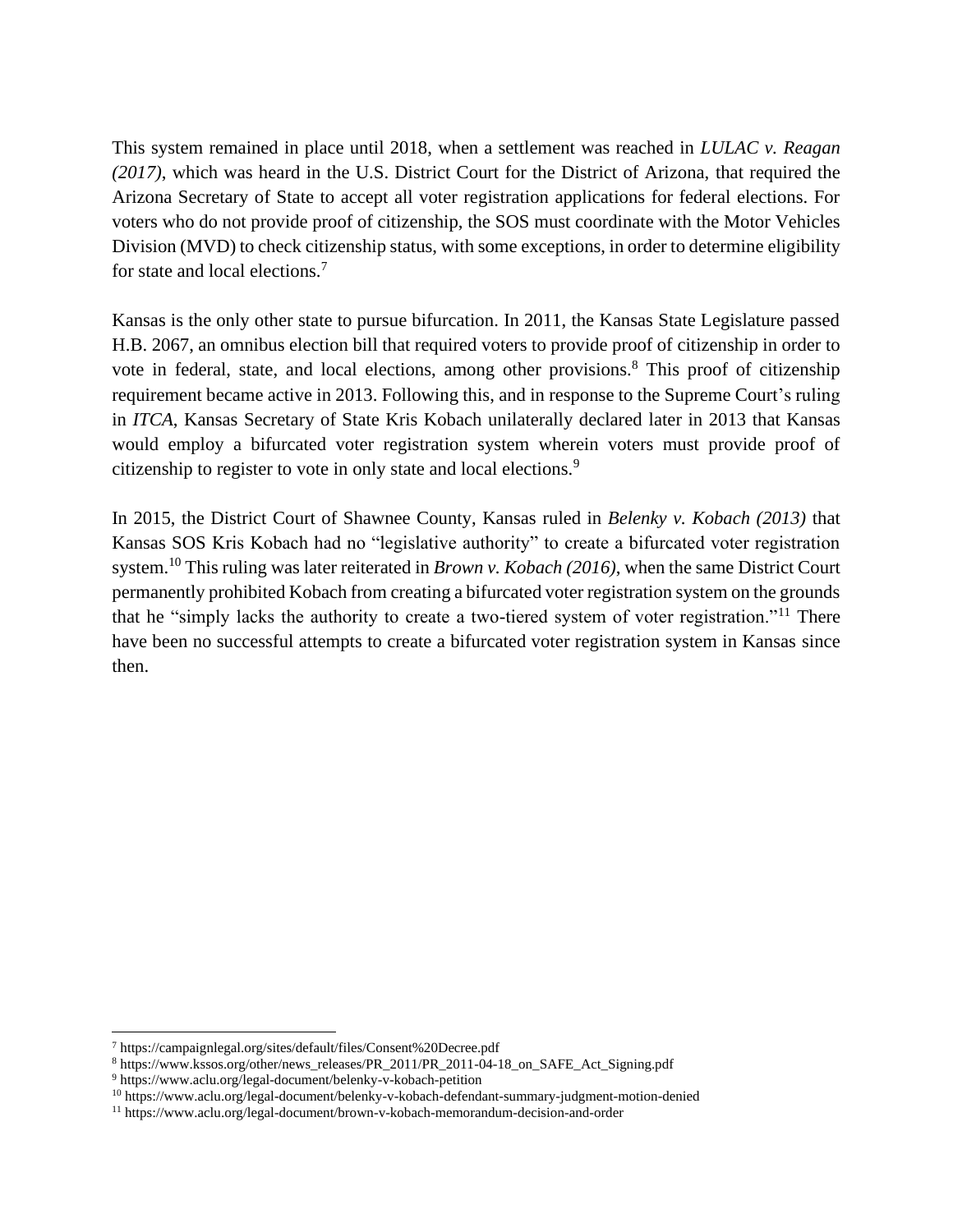This system remained in place until 2018, when a settlement was reached in *LULAC v. Reagan (2017)*, which was heard in the U.S. District Court for the District of Arizona, that required the Arizona Secretary of State to accept all voter registration applications for federal elections. For voters who do not provide proof of citizenship, the SOS must coordinate with the Motor Vehicles Division (MVD) to check citizenship status, with some exceptions, in order to determine eligibility for state and local elections.<sup>7</sup>

Kansas is the only other state to pursue bifurcation. In 2011, the Kansas State Legislature passed H.B. 2067, an omnibus election bill that required voters to provide proof of citizenship in order to vote in federal, state, and local elections, among other provisions.<sup>8</sup> This proof of citizenship requirement became active in 2013. Following this, and in response to the Supreme Court's ruling in *ITCA*, Kansas Secretary of State Kris Kobach unilaterally declared later in 2013 that Kansas would employ a bifurcated voter registration system wherein voters must provide proof of citizenship to register to vote in only state and local elections.<sup>9</sup>

In 2015, the District Court of Shawnee County, Kansas ruled in *Belenky v. Kobach (2013)* that Kansas SOS Kris Kobach had no "legislative authority" to create a bifurcated voter registration system.<sup>10</sup> This ruling was later reiterated in *Brown v. Kobach (2016)*, when the same District Court permanently prohibited Kobach from creating a bifurcated voter registration system on the grounds that he "simply lacks the authority to create a two-tiered system of voter registration."<sup>11</sup> There have been no successful attempts to create a bifurcated voter registration system in Kansas since then.

<sup>7</sup> https://campaignlegal.org/sites/default/files/Consent%20Decree.pdf

<sup>8</sup> https://www.kssos.org/other/news\_releases/PR\_2011/PR\_2011-04-18\_on\_SAFE\_Act\_Signing.pdf

<sup>9</sup> https://www.aclu.org/legal-document/belenky-v-kobach-petition

<sup>10</sup> https://www.aclu.org/legal-document/belenky-v-kobach-defendant-summary-judgment-motion-denied

<sup>11</sup> https://www.aclu.org/legal-document/brown-v-kobach-memorandum-decision-and-order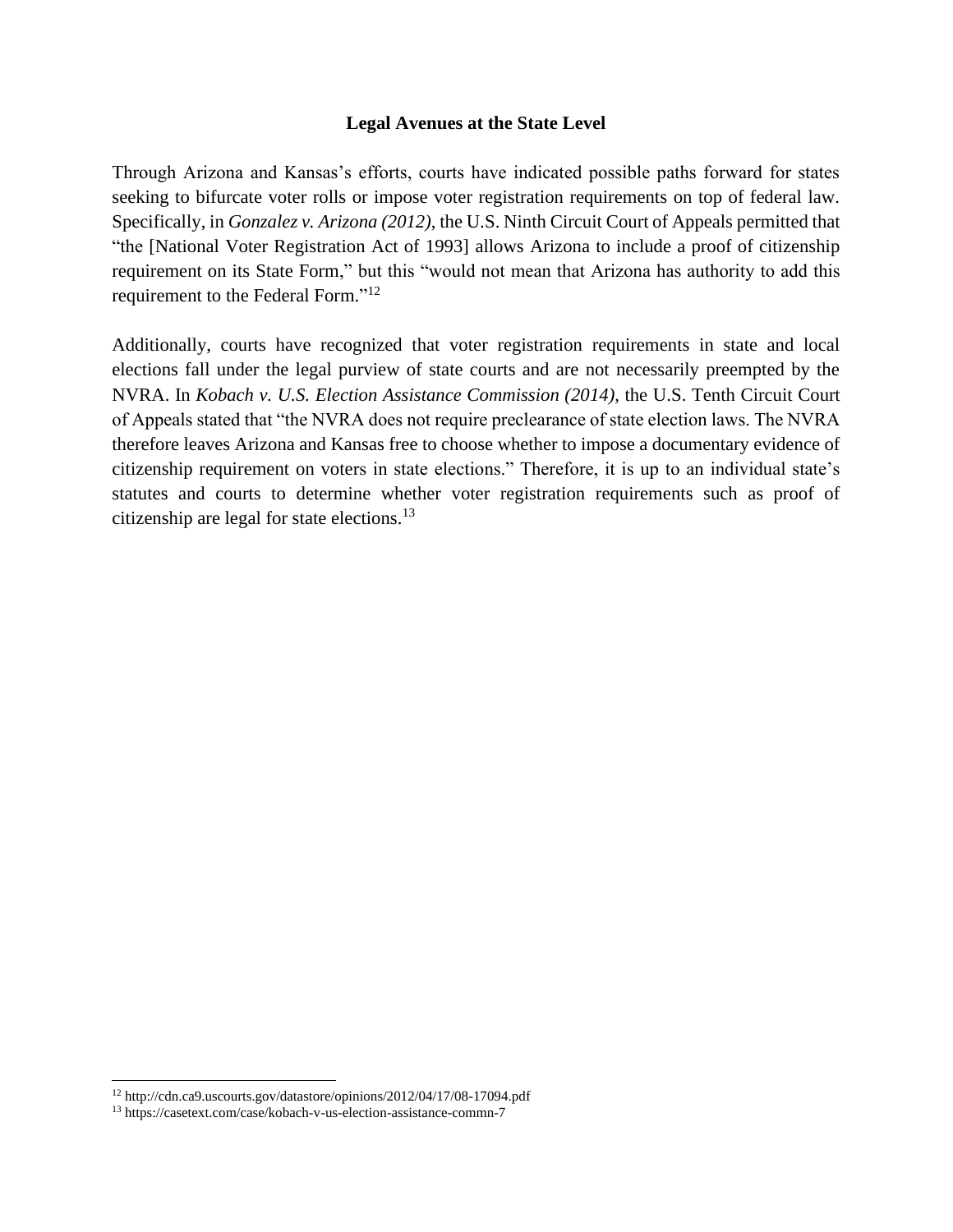#### **Legal Avenues at the State Level**

Through Arizona and Kansas's efforts, courts have indicated possible paths forward for states seeking to bifurcate voter rolls or impose voter registration requirements on top of federal law. Specifically, in *Gonzalez v. Arizona (2012)*, the U.S. Ninth Circuit Court of Appeals permitted that "the [National Voter Registration Act of 1993] allows Arizona to include a proof of citizenship requirement on its State Form," but this "would not mean that Arizona has authority to add this requirement to the Federal Form."<sup>12</sup>

Additionally, courts have recognized that voter registration requirements in state and local elections fall under the legal purview of state courts and are not necessarily preempted by the NVRA. In *Kobach v. U.S. Election Assistance Commission (2014)*, the U.S. Tenth Circuit Court of Appeals stated that "the NVRA does not require preclearance of state election laws. The NVRA therefore leaves Arizona and Kansas free to choose whether to impose a documentary evidence of citizenship requirement on voters in state elections." Therefore, it is up to an individual state's statutes and courts to determine whether voter registration requirements such as proof of citizenship are legal for state elections.<sup>13</sup>

<sup>12</sup> http://cdn.ca9.uscourts.gov/datastore/opinions/2012/04/17/08-17094.pdf

<sup>13</sup> https://casetext.com/case/kobach-v-us-election-assistance-commn-7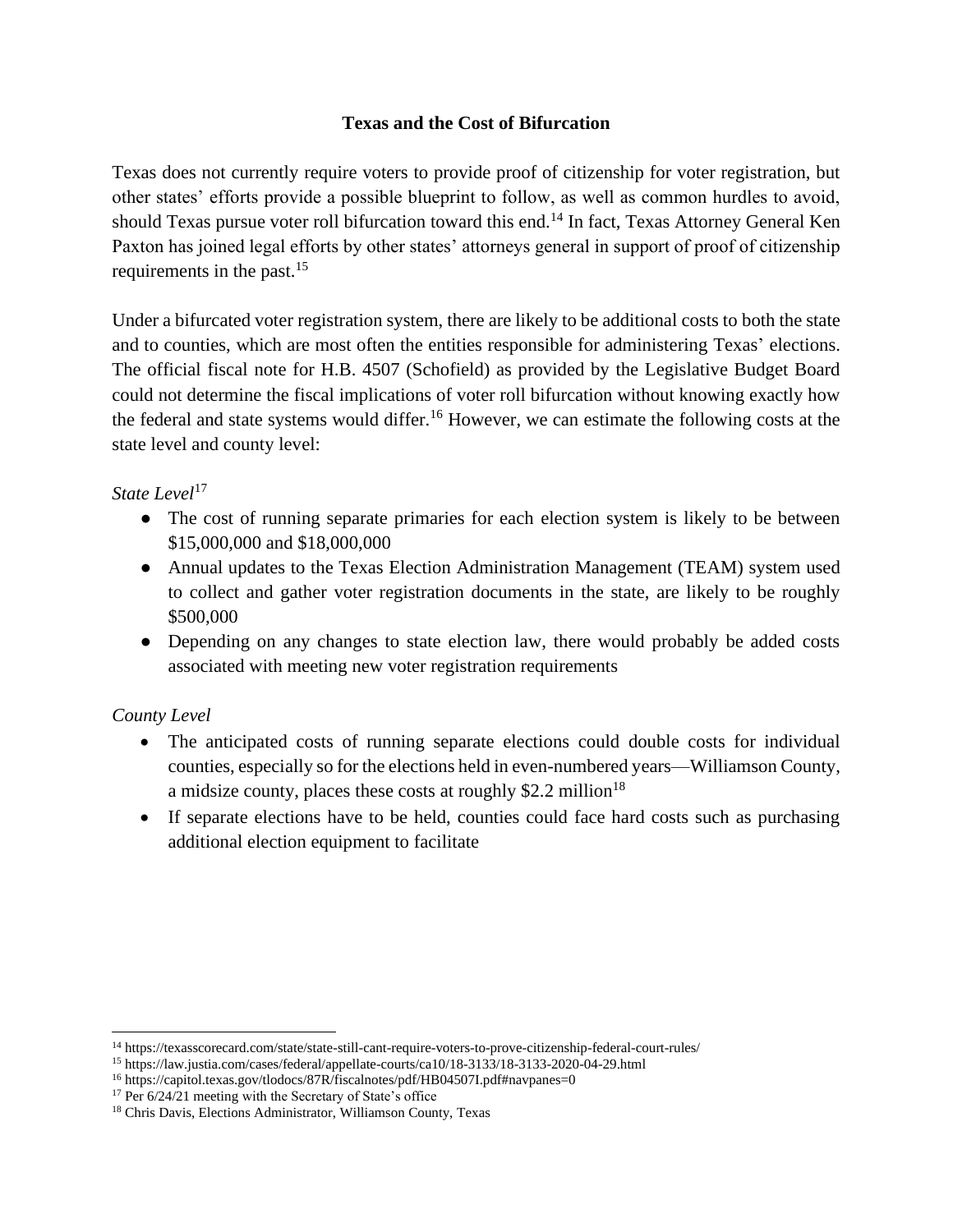## **Texas and the Cost of Bifurcation**

Texas does not currently require voters to provide proof of citizenship for voter registration, but other states' efforts provide a possible blueprint to follow, as well as common hurdles to avoid, should Texas pursue voter roll bifurcation toward this end.<sup>14</sup> In fact, Texas Attorney General Ken Paxton has joined legal efforts by other states' attorneys general in support of proof of citizenship requirements in the past. $15$ 

Under a bifurcated voter registration system, there are likely to be additional costs to both the state and to counties, which are most often the entities responsible for administering Texas' elections. The official fiscal note for H.B. 4507 (Schofield) as provided by the Legislative Budget Board could not determine the fiscal implications of voter roll bifurcation without knowing exactly how the federal and state systems would differ.<sup>16</sup> However, we can estimate the following costs at the state level and county level:

## *State Level*<sup>17</sup>

- The cost of running separate primaries for each election system is likely to be between \$15,000,000 and \$18,000,000
- Annual updates to the Texas Election Administration Management (TEAM) system used to collect and gather voter registration documents in the state, are likely to be roughly \$500,000
- Depending on any changes to state election law, there would probably be added costs associated with meeting new voter registration requirements

### *County Level*

- The anticipated costs of running separate elections could double costs for individual counties, especially so for the elections held in even-numbered years—Williamson County, a midsize county, places these costs at roughly \$2.2 million<sup>18</sup>
- If separate elections have to be held, counties could face hard costs such as purchasing additional election equipment to facilitate

<sup>14</sup> https://texasscorecard.com/state/state-still-cant-require-voters-to-prove-citizenship-federal-court-rules/

<sup>15</sup> https://law.justia.com/cases/federal/appellate-courts/ca10/18-3133/18-3133-2020-04-29.html

<sup>16</sup> https://capitol.texas.gov/tlodocs/87R/fiscalnotes/pdf/HB04507I.pdf#navpanes=0

<sup>17</sup> Per 6/24/21 meeting with the Secretary of State's office

<sup>18</sup> Chris Davis, Elections Administrator, Williamson County, Texas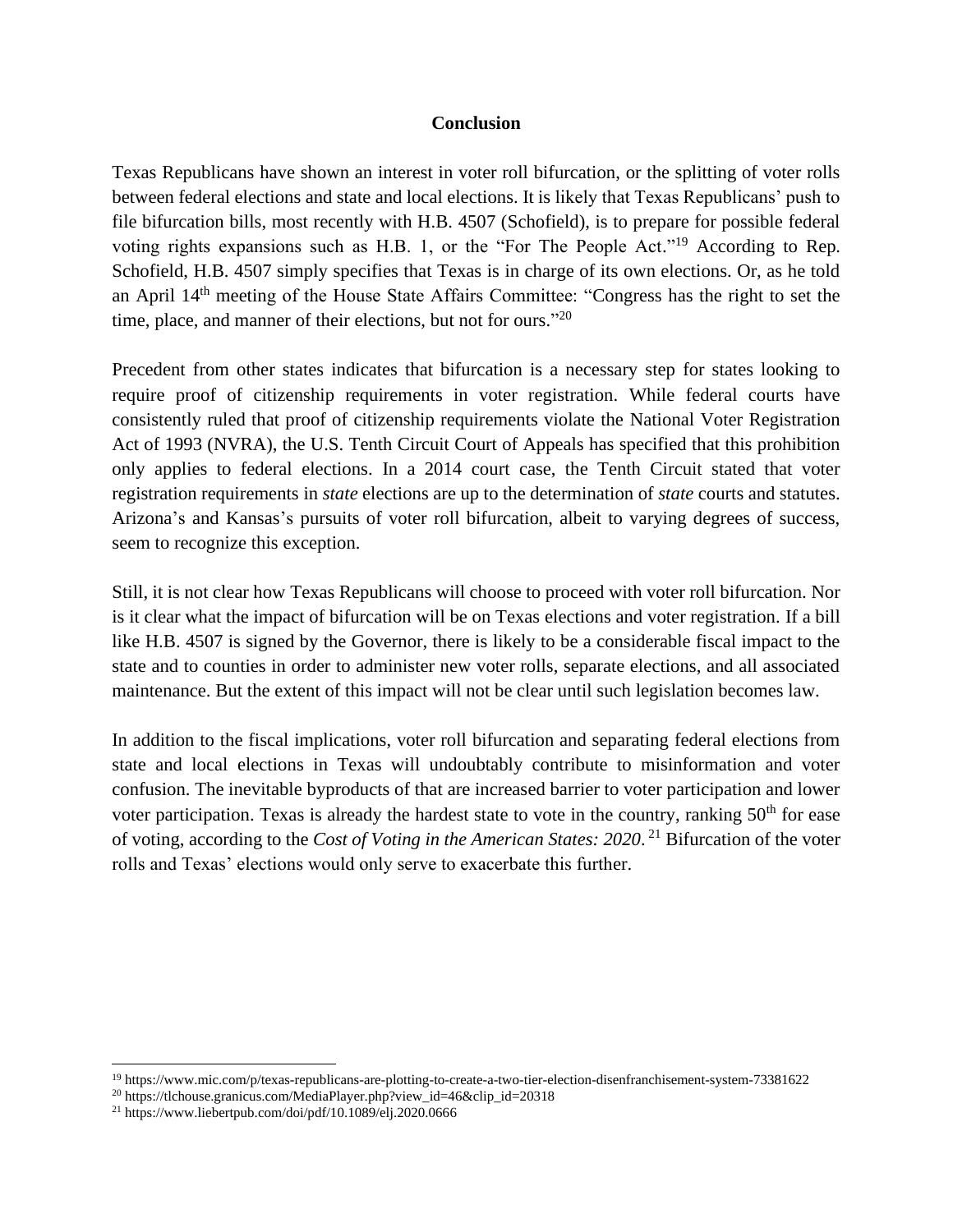#### **Conclusion**

Texas Republicans have shown an interest in voter roll bifurcation, or the splitting of voter rolls between federal elections and state and local elections. It is likely that Texas Republicans' push to file bifurcation bills, most recently with H.B. 4507 (Schofield), is to prepare for possible federal voting rights expansions such as H.B. 1, or the "For The People Act."<sup>19</sup> According to Rep. Schofield, H.B. 4507 simply specifies that Texas is in charge of its own elections. Or, as he told an April 14th meeting of the House State Affairs Committee: "Congress has the right to set the time, place, and manner of their elections, but not for ours."<sup>20</sup>

Precedent from other states indicates that bifurcation is a necessary step for states looking to require proof of citizenship requirements in voter registration. While federal courts have consistently ruled that proof of citizenship requirements violate the National Voter Registration Act of 1993 (NVRA), the U.S. Tenth Circuit Court of Appeals has specified that this prohibition only applies to federal elections. In a 2014 court case, the Tenth Circuit stated that voter registration requirements in *state* elections are up to the determination of *state* courts and statutes. Arizona's and Kansas's pursuits of voter roll bifurcation, albeit to varying degrees of success, seem to recognize this exception.

Still, it is not clear how Texas Republicans will choose to proceed with voter roll bifurcation. Nor is it clear what the impact of bifurcation will be on Texas elections and voter registration. If a bill like H.B. 4507 is signed by the Governor, there is likely to be a considerable fiscal impact to the state and to counties in order to administer new voter rolls, separate elections, and all associated maintenance. But the extent of this impact will not be clear until such legislation becomes law.

In addition to the fiscal implications, voter roll bifurcation and separating federal elections from state and local elections in Texas will undoubtably contribute to misinformation and voter confusion. The inevitable byproducts of that are increased barrier to voter participation and lower voter participation. Texas is already the hardest state to vote in the country, ranking  $50<sup>th</sup>$  for ease of voting, according to the *Cost of Voting in the American States: 2020*. <sup>21</sup> Bifurcation of the voter rolls and Texas' elections would only serve to exacerbate this further.

<sup>19</sup> https://www.mic.com/p/texas-republicans-are-plotting-to-create-a-two-tier-election-disenfranchisement-system-73381622

<sup>20</sup> https://tlchouse.granicus.com/MediaPlayer.php?view\_id=46&clip\_id=20318

<sup>21</sup> https://www.liebertpub.com/doi/pdf/10.1089/elj.2020.0666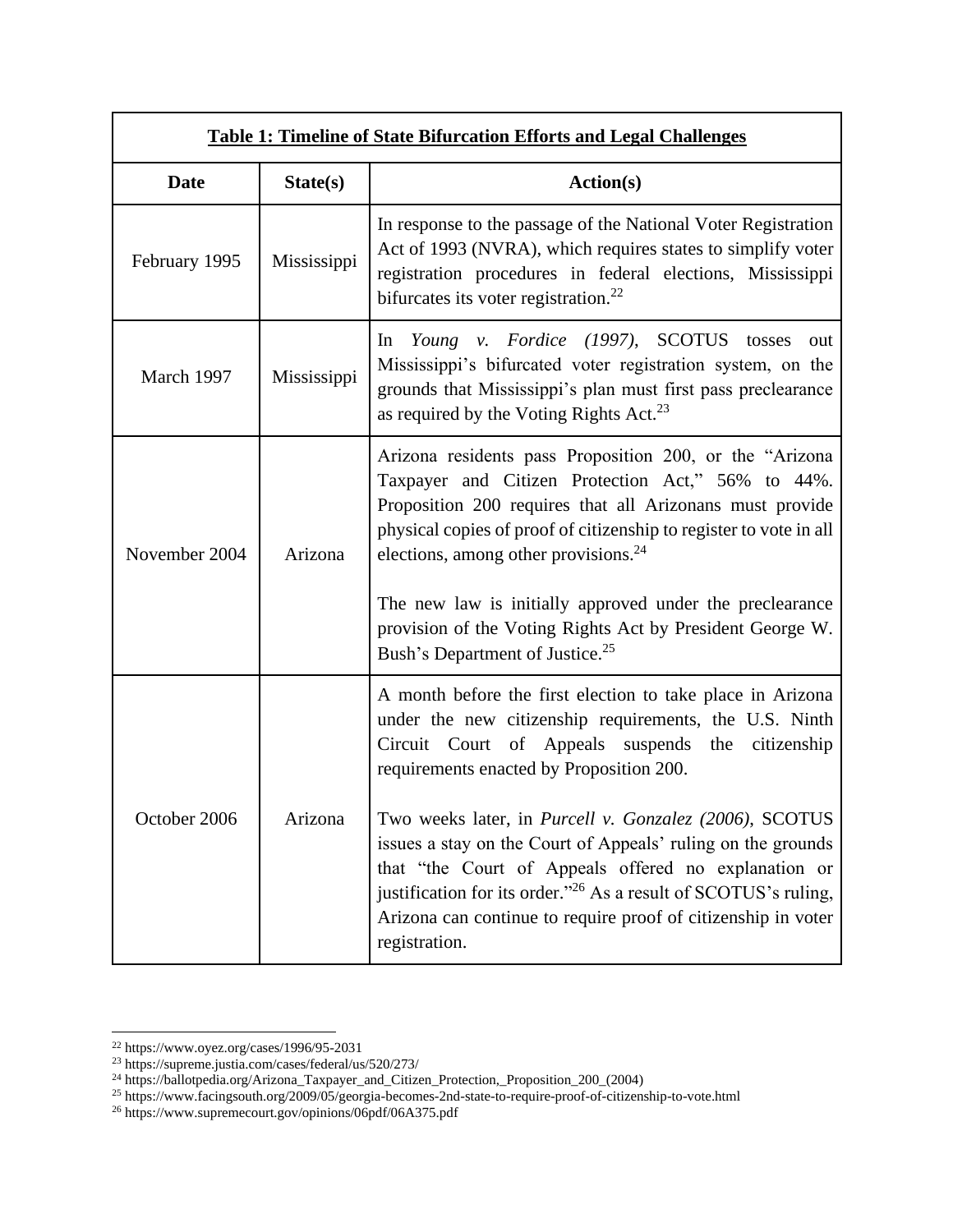| <b>Table 1: Timeline of State Bifurcation Efforts and Legal Challenges</b> |             |                                                                                                                                                                                                                                                                                                                                                                                                                     |
|----------------------------------------------------------------------------|-------------|---------------------------------------------------------------------------------------------------------------------------------------------------------------------------------------------------------------------------------------------------------------------------------------------------------------------------------------------------------------------------------------------------------------------|
| <b>Date</b>                                                                | State(s)    | <b>Action(s)</b>                                                                                                                                                                                                                                                                                                                                                                                                    |
| February 1995                                                              | Mississippi | In response to the passage of the National Voter Registration<br>Act of 1993 (NVRA), which requires states to simplify voter<br>registration procedures in federal elections, Mississippi<br>bifurcates its voter registration. $^{22}$                                                                                                                                                                             |
| March 1997                                                                 | Mississippi | Young v. Fordice (1997), SCOTUS tosses<br>$\ln$<br>out<br>Mississippi's bifurcated voter registration system, on the<br>grounds that Mississippi's plan must first pass preclearance<br>as required by the Voting Rights Act. <sup>23</sup>                                                                                                                                                                         |
| November 2004                                                              | Arizona     | Arizona residents pass Proposition 200, or the "Arizona"<br>Taxpayer and Citizen Protection Act," 56% to 44%.<br>Proposition 200 requires that all Arizonans must provide<br>physical copies of proof of citizenship to register to vote in all<br>elections, among other provisions. $24$<br>The new law is initially approved under the preclearance<br>provision of the Voting Rights Act by President George W. |
|                                                                            |             | Bush's Department of Justice. <sup>25</sup>                                                                                                                                                                                                                                                                                                                                                                         |
| October 2006                                                               | Arizona     | A month before the first election to take place in Arizona<br>under the new citizenship requirements, the U.S. Ninth<br>Circuit Court of Appeals suspends the citizenship<br>requirements enacted by Proposition 200.                                                                                                                                                                                               |
|                                                                            |             | Two weeks later, in Purcell v. Gonzalez (2006), SCOTUS<br>issues a stay on the Court of Appeals' ruling on the grounds<br>that "the Court of Appeals offered no explanation or<br>justification for its order." <sup>26</sup> As a result of SCOTUS's ruling,<br>Arizona can continue to require proof of citizenship in voter<br>registration.                                                                     |

 $22$  https://www.oyez.org/cases/1996/95-2031

<sup>23</sup> https://supreme.justia.com/cases/federal/us/520/273/

<sup>&</sup>lt;sup>24</sup> https://ballotpedia.org/Arizona\_Taxpayer\_and\_Citizen\_Protection,\_Proposition\_200\_(2004)

<sup>&</sup>lt;sup>25</sup> https://www.facingsouth.org/2009/05/georgia-becomes-2nd-state-to-require-proof-of-citizenship-to-vote.html

<sup>&</sup>lt;sup>26</sup> https://www.supremecourt.gov/opinions/06pdf/06A375.pdf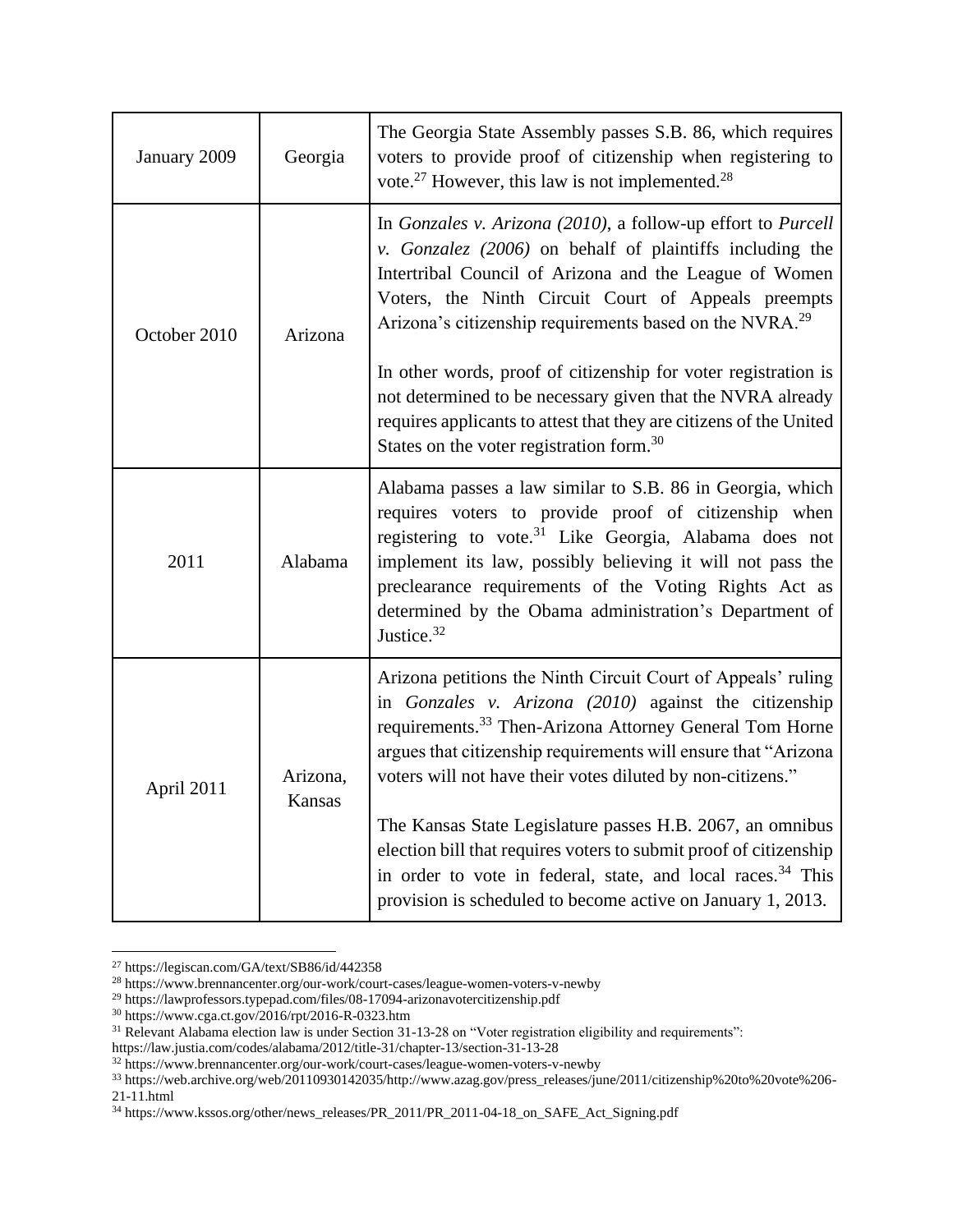| January 2009 | Georgia            | The Georgia State Assembly passes S.B. 86, which requires<br>voters to provide proof of citizenship when registering to<br>vote. <sup>27</sup> However, this law is not implemented. <sup>28</sup>                                                                                                                                                                                                                                                                                                                                                                                                       |
|--------------|--------------------|----------------------------------------------------------------------------------------------------------------------------------------------------------------------------------------------------------------------------------------------------------------------------------------------------------------------------------------------------------------------------------------------------------------------------------------------------------------------------------------------------------------------------------------------------------------------------------------------------------|
| October 2010 | Arizona            | In Gonzales v. Arizona (2010), a follow-up effort to Purcell<br>v. Gonzalez (2006) on behalf of plaintiffs including the<br>Intertribal Council of Arizona and the League of Women<br>Voters, the Ninth Circuit Court of Appeals preempts<br>Arizona's citizenship requirements based on the NVRA. <sup>29</sup><br>In other words, proof of citizenship for voter registration is<br>not determined to be necessary given that the NVRA already<br>requires applicants to attest that they are citizens of the United<br>States on the voter registration form. $30$                                    |
| 2011         | Alabama            | Alabama passes a law similar to S.B. 86 in Georgia, which<br>requires voters to provide proof of citizenship when<br>registering to vote. <sup>31</sup> Like Georgia, Alabama does not<br>implement its law, possibly believing it will not pass the<br>preclearance requirements of the Voting Rights Act as<br>determined by the Obama administration's Department of<br>Justice. <sup>32</sup>                                                                                                                                                                                                        |
| April 2011   | Arizona,<br>Kansas | Arizona petitions the Ninth Circuit Court of Appeals' ruling<br>in Gonzales v. Arizona (2010) against the citizenship<br>requirements. <sup>33</sup> Then-Arizona Attorney General Tom Horne<br>argues that citizenship requirements will ensure that "Arizona<br>voters will not have their votes diluted by non-citizens."<br>The Kansas State Legislature passes H.B. 2067, an omnibus<br>election bill that requires voters to submit proof of citizenship<br>in order to vote in federal, state, and local races. <sup>34</sup> This<br>provision is scheduled to become active on January 1, 2013. |

<sup>27</sup> https://legiscan.com/GA/text/SB86/id/442358

<sup>29</sup> https://lawprofessors.typepad.com/files/08-17094-arizonavotercitizenship.pdf

<sup>28</sup> https://www.brennancenter.org/our-work/court-cases/league-women-voters-v-newby

<sup>30</sup> https://www.cga.ct.gov/2016/rpt/2016-R-0323.htm

<sup>31</sup> Relevant Alabama election law is under Section 31-13-28 on "Voter registration eligibility and requirements":

https://law.justia.com/codes/alabama/2012/title-31/chapter-13/section-31-13-28

<sup>32</sup> https://www.brennancenter.org/our-work/court-cases/league-women-voters-v-newby

<sup>33</sup> https://web.archive.org/web/20110930142035/http://www.azag.gov/press\_releases/june/2011/citizenship%20to%20vote%206-  $21-11.html$ 

<sup>34</sup> https://www.kssos.org/other/news\_releases/PR\_2011/PR\_2011-04-18\_on\_SAFE\_Act\_Signing.pdf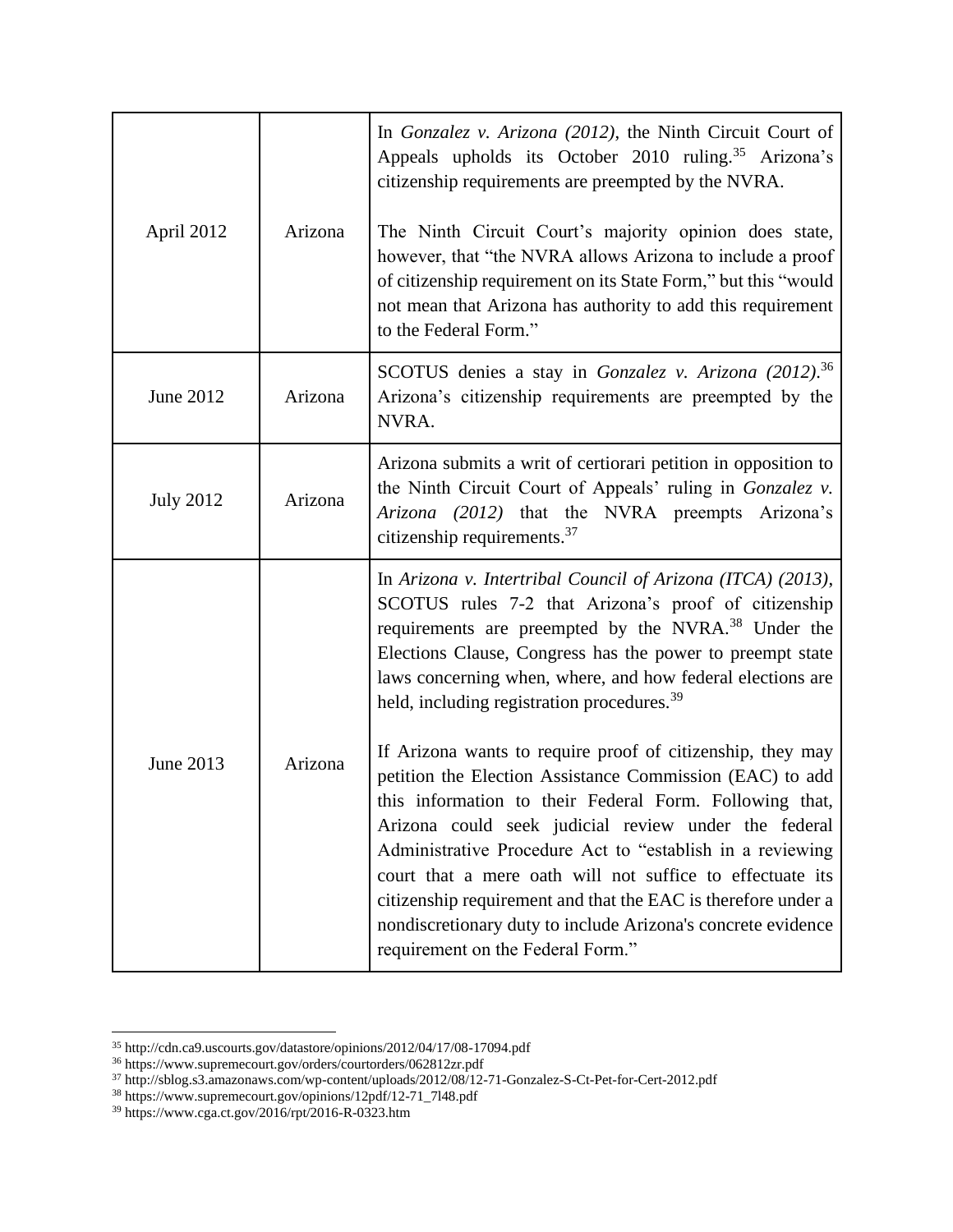| April 2012       | Arizona | In Gonzalez v. Arizona (2012), the Ninth Circuit Court of<br>Appeals upholds its October 2010 ruling. <sup>35</sup> Arizona's<br>citizenship requirements are preempted by the NVRA.<br>The Ninth Circuit Court's majority opinion does state,<br>however, that "the NVRA allows Arizona to include a proof<br>of citizenship requirement on its State Form," but this "would<br>not mean that Arizona has authority to add this requirement<br>to the Federal Form."                                                                                                                                                                                                                                                                                                                                                                                                                                                    |
|------------------|---------|--------------------------------------------------------------------------------------------------------------------------------------------------------------------------------------------------------------------------------------------------------------------------------------------------------------------------------------------------------------------------------------------------------------------------------------------------------------------------------------------------------------------------------------------------------------------------------------------------------------------------------------------------------------------------------------------------------------------------------------------------------------------------------------------------------------------------------------------------------------------------------------------------------------------------|
| June 2012        | Arizona | SCOTUS denies a stay in Gonzalez v. Arizona (2012). <sup>36</sup><br>Arizona's citizenship requirements are preempted by the<br>NVRA.                                                                                                                                                                                                                                                                                                                                                                                                                                                                                                                                                                                                                                                                                                                                                                                    |
| <b>July 2012</b> | Arizona | Arizona submits a writ of certiorari petition in opposition to<br>the Ninth Circuit Court of Appeals' ruling in Gonzalez v.<br>Arizona (2012) that the NVRA preempts Arizona's<br>citizenship requirements. <sup>37</sup>                                                                                                                                                                                                                                                                                                                                                                                                                                                                                                                                                                                                                                                                                                |
| June 2013        | Arizona | In Arizona v. Intertribal Council of Arizona (ITCA) (2013),<br>SCOTUS rules 7-2 that Arizona's proof of citizenship<br>requirements are preempted by the NVRA. <sup>38</sup> Under the<br>Elections Clause, Congress has the power to preempt state<br>laws concerning when, where, and how federal elections are<br>held, including registration procedures. <sup>39</sup><br>If Arizona wants to require proof of citizenship, they may<br>petition the Election Assistance Commission (EAC) to add<br>this information to their Federal Form. Following that,<br>Arizona could seek judicial review under the federal<br>Administrative Procedure Act to "establish in a reviewing<br>court that a mere oath will not suffice to effectuate its<br>citizenship requirement and that the EAC is therefore under a<br>nondiscretionary duty to include Arizona's concrete evidence<br>requirement on the Federal Form." |

<sup>35</sup> http://cdn.ca9.uscourts.gov/datastore/opinions/2012/04/17/08-17094.pdf

<sup>36</sup> https://www.supremecourt.gov/orders/courtorders/062812zr.pdf

<sup>37</sup> http://sblog.s3.amazonaws.com/wp-content/uploads/2012/08/12-71-Gonzalez-S-Ct-Pet-for-Cert-2012.pdf

<sup>38</sup> https://www.supremecourt.gov/opinions/12pdf/12-71\_7l48.pdf

<sup>39</sup> https://www.cga.ct.gov/2016/rpt/2016-R-0323.htm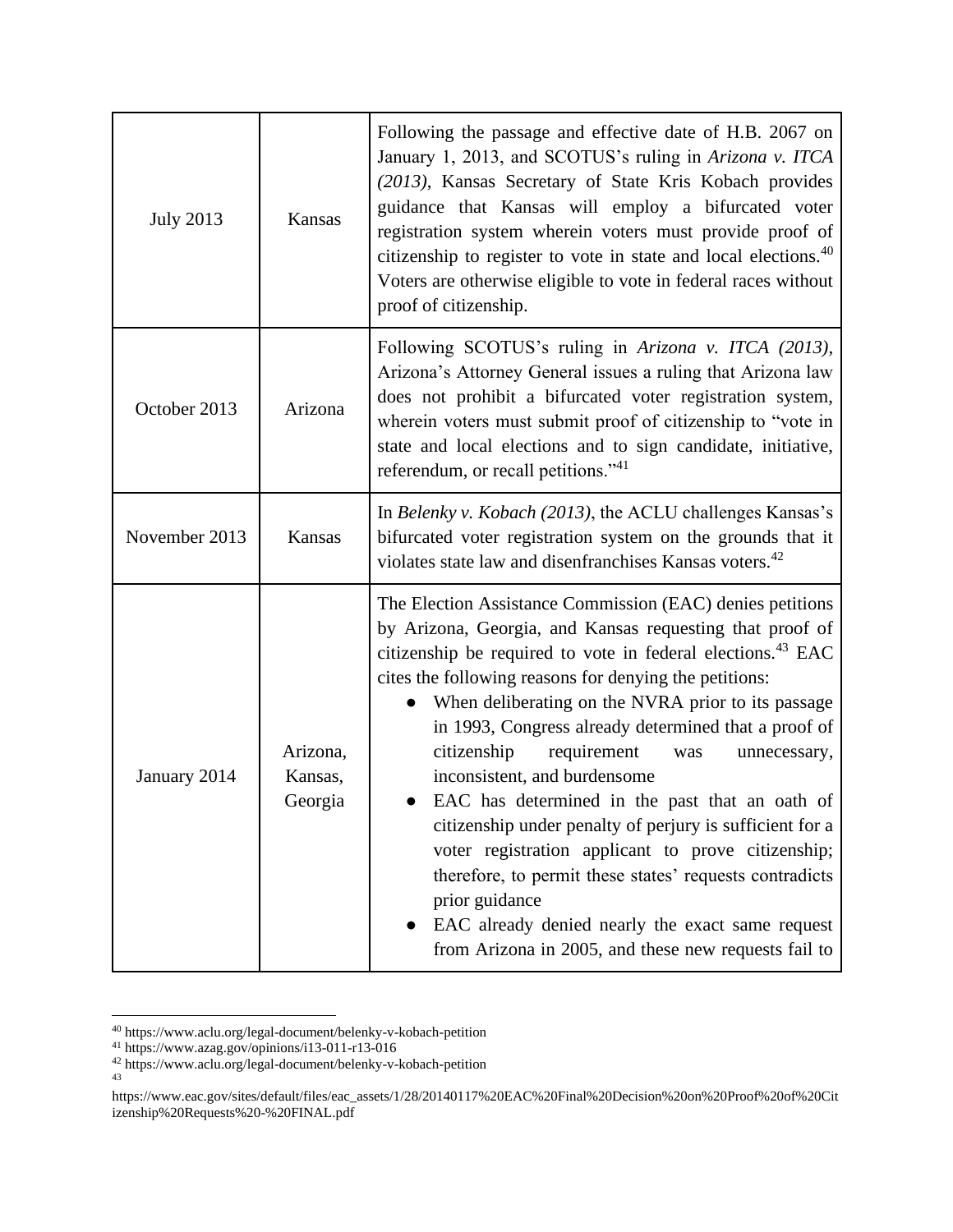| <b>July 2013</b> | Kansas                         | Following the passage and effective date of H.B. 2067 on<br>January 1, 2013, and SCOTUS's ruling in Arizona v. ITCA<br>(2013), Kansas Secretary of State Kris Kobach provides<br>guidance that Kansas will employ a bifurcated voter<br>registration system wherein voters must provide proof of<br>citizenship to register to vote in state and local elections. <sup>40</sup><br>Voters are otherwise eligible to vote in federal races without<br>proof of citizenship.                                                                                                                                                                                                                                                                                                                                                 |
|------------------|--------------------------------|----------------------------------------------------------------------------------------------------------------------------------------------------------------------------------------------------------------------------------------------------------------------------------------------------------------------------------------------------------------------------------------------------------------------------------------------------------------------------------------------------------------------------------------------------------------------------------------------------------------------------------------------------------------------------------------------------------------------------------------------------------------------------------------------------------------------------|
| October 2013     | Arizona                        | Following SCOTUS's ruling in Arizona v. ITCA (2013),<br>Arizona's Attorney General issues a ruling that Arizona law<br>does not prohibit a bifurcated voter registration system,<br>wherein voters must submit proof of citizenship to "vote in<br>state and local elections and to sign candidate, initiative,<br>referendum, or recall petitions." <sup>41</sup>                                                                                                                                                                                                                                                                                                                                                                                                                                                         |
| November 2013    | Kansas                         | In Belenky v. Kobach (2013), the ACLU challenges Kansas's<br>bifurcated voter registration system on the grounds that it<br>violates state law and disenfranchises Kansas voters. <sup>42</sup>                                                                                                                                                                                                                                                                                                                                                                                                                                                                                                                                                                                                                            |
| January 2014     | Arizona,<br>Kansas,<br>Georgia | The Election Assistance Commission (EAC) denies petitions<br>by Arizona, Georgia, and Kansas requesting that proof of<br>citizenship be required to vote in federal elections. <sup>43</sup> EAC<br>cites the following reasons for denying the petitions:<br>When deliberating on the NVRA prior to its passage<br>in 1993, Congress already determined that a proof of<br>citizenship<br>requirement<br>was<br>unnecessary,<br>inconsistent, and burdensome<br>EAC has determined in the past that an oath of<br>citizenship under penalty of perjury is sufficient for a<br>voter registration applicant to prove citizenship;<br>therefore, to permit these states' requests contradicts<br>prior guidance<br>EAC already denied nearly the exact same request<br>from Arizona in 2005, and these new requests fail to |

<sup>40</sup> https://www.aclu.org/legal-document/belenky-v-kobach-petition

<sup>41</sup> https://www.azag.gov/opinions/i13-011-r13-016

<sup>42</sup> https://www.aclu.org/legal-document/belenky-v-kobach-petition

<sup>43</sup>

https://www.eac.gov/sites/default/files/eac\_assets/1/28/20140117%20EAC%20Final%20Decision%20on%20Proof%20of%20Cit izenship%20Requests%20-%20FINAL.pdf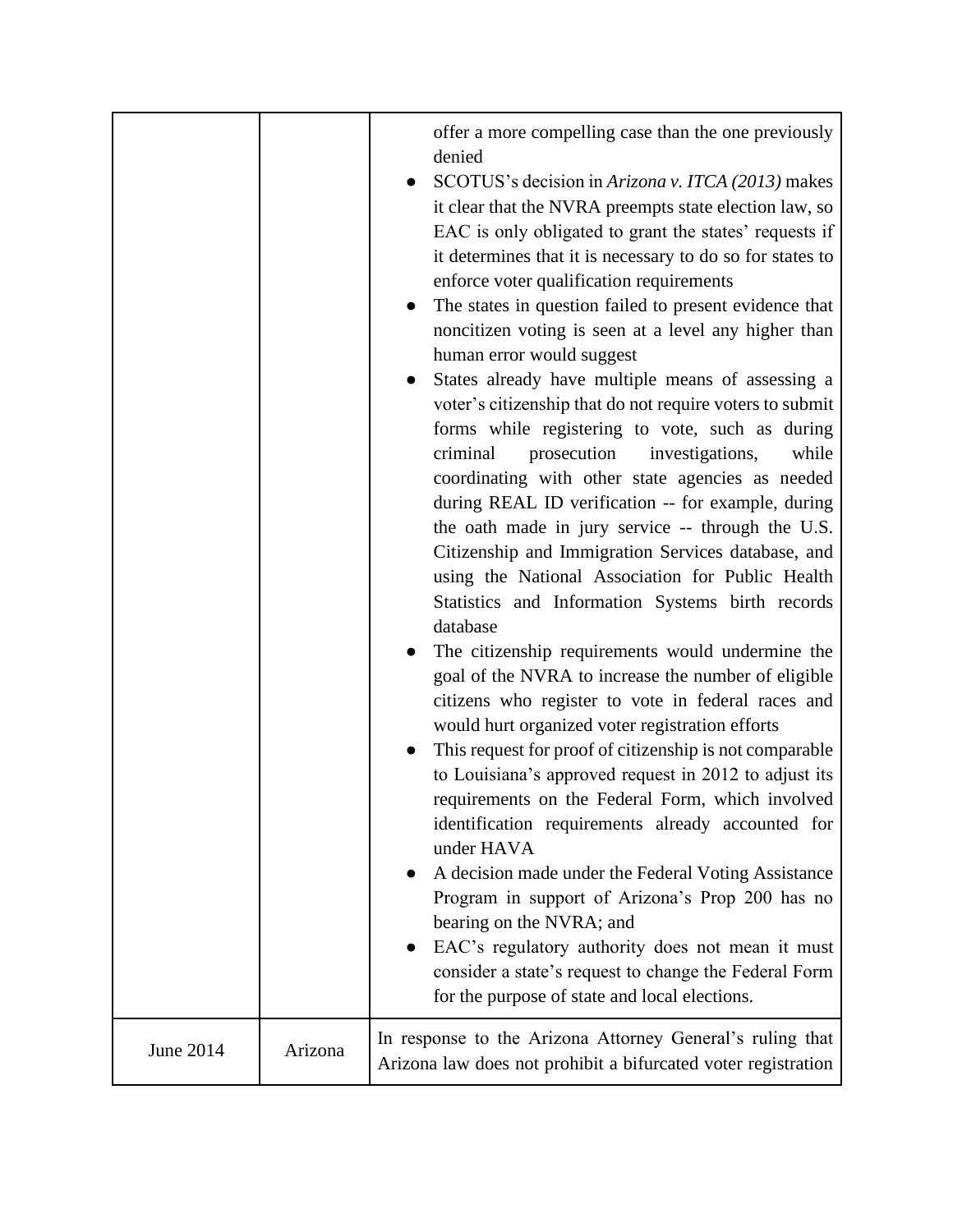|           |         | offer a more compelling case than the one previously<br>denied<br>SCOTUS's decision in Arizona v. ITCA (2013) makes<br>it clear that the NVRA preempts state election law, so<br>EAC is only obligated to grant the states' requests if<br>it determines that it is necessary to do so for states to<br>enforce voter qualification requirements<br>The states in question failed to present evidence that<br>noncitizen voting is seen at a level any higher than<br>human error would suggest<br>States already have multiple means of assessing a<br>voter's citizenship that do not require voters to submit<br>forms while registering to vote, such as during<br>prosecution<br>criminal<br>investigations,<br>while<br>coordinating with other state agencies as needed<br>during REAL ID verification -- for example, during<br>the oath made in jury service -- through the U.S.<br>Citizenship and Immigration Services database, and<br>using the National Association for Public Health<br>Statistics and Information Systems birth records<br>database<br>The citizenship requirements would undermine the<br>goal of the NVRA to increase the number of eligible<br>citizens who register to vote in federal races and<br>would hurt organized voter registration efforts<br>This request for proof of citizenship is not comparable<br>to Louisiana's approved request in 2012 to adjust its<br>requirements on the Federal Form, which involved<br>identification requirements already accounted for<br>under HAVA<br>A decision made under the Federal Voting Assistance<br>Program in support of Arizona's Prop 200 has no<br>bearing on the NVRA; and<br>EAC's regulatory authority does not mean it must<br>$\bullet$<br>consider a state's request to change the Federal Form<br>for the purpose of state and local elections.<br>In response to the Arizona Attorney General's ruling that |
|-----------|---------|------------------------------------------------------------------------------------------------------------------------------------------------------------------------------------------------------------------------------------------------------------------------------------------------------------------------------------------------------------------------------------------------------------------------------------------------------------------------------------------------------------------------------------------------------------------------------------------------------------------------------------------------------------------------------------------------------------------------------------------------------------------------------------------------------------------------------------------------------------------------------------------------------------------------------------------------------------------------------------------------------------------------------------------------------------------------------------------------------------------------------------------------------------------------------------------------------------------------------------------------------------------------------------------------------------------------------------------------------------------------------------------------------------------------------------------------------------------------------------------------------------------------------------------------------------------------------------------------------------------------------------------------------------------------------------------------------------------------------------------------------------------------------------------------------------------------------------------------------------------------------------------------------------------|
| June 2014 | Arizona | Arizona law does not prohibit a bifurcated voter registration                                                                                                                                                                                                                                                                                                                                                                                                                                                                                                                                                                                                                                                                                                                                                                                                                                                                                                                                                                                                                                                                                                                                                                                                                                                                                                                                                                                                                                                                                                                                                                                                                                                                                                                                                                                                                                                    |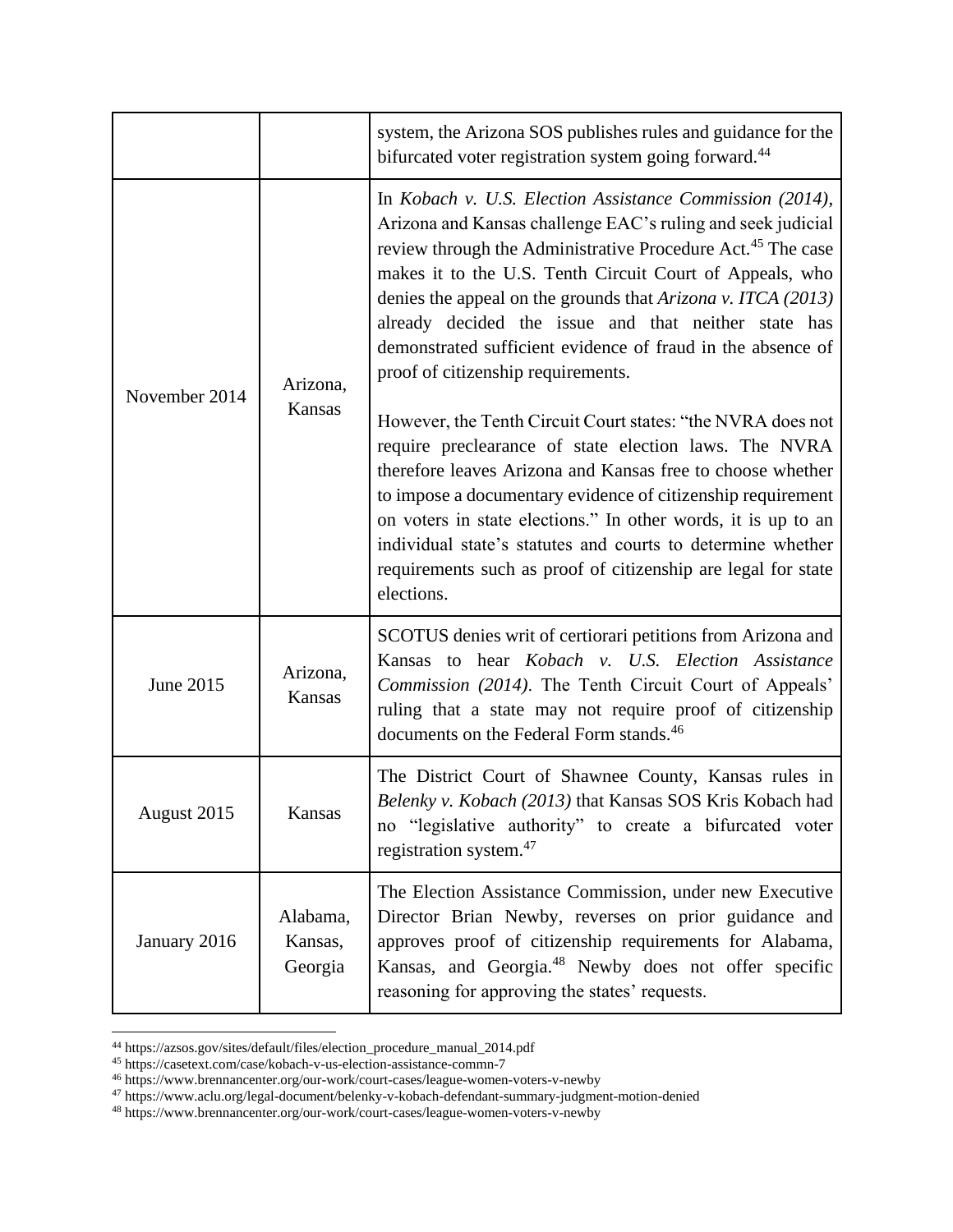|               |                                | system, the Arizona SOS publishes rules and guidance for the<br>bifurcated voter registration system going forward. <sup>44</sup>                                                                                                                                                                                                                                                                                                                                                                                                                                                                                                                                                                                                                                                                                                                                                                                                                               |
|---------------|--------------------------------|-----------------------------------------------------------------------------------------------------------------------------------------------------------------------------------------------------------------------------------------------------------------------------------------------------------------------------------------------------------------------------------------------------------------------------------------------------------------------------------------------------------------------------------------------------------------------------------------------------------------------------------------------------------------------------------------------------------------------------------------------------------------------------------------------------------------------------------------------------------------------------------------------------------------------------------------------------------------|
| November 2014 | Arizona,<br>Kansas             | In Kobach v. U.S. Election Assistance Commission (2014),<br>Arizona and Kansas challenge EAC's ruling and seek judicial<br>review through the Administrative Procedure Act. <sup>45</sup> The case<br>makes it to the U.S. Tenth Circuit Court of Appeals, who<br>denies the appeal on the grounds that Arizona v. ITCA (2013)<br>already decided the issue and that neither state has<br>demonstrated sufficient evidence of fraud in the absence of<br>proof of citizenship requirements.<br>However, the Tenth Circuit Court states: "the NVRA does not<br>require preclearance of state election laws. The NVRA<br>therefore leaves Arizona and Kansas free to choose whether<br>to impose a documentary evidence of citizenship requirement<br>on voters in state elections." In other words, it is up to an<br>individual state's statutes and courts to determine whether<br>requirements such as proof of citizenship are legal for state<br>elections. |
| June 2015     | Arizona,<br>Kansas             | SCOTUS denies writ of certiorari petitions from Arizona and<br>Kansas to hear Kobach v. U.S. Election Assistance<br>Commission (2014). The Tenth Circuit Court of Appeals'<br>ruling that a state may not require proof of citizenship<br>documents on the Federal Form stands. <sup>46</sup>                                                                                                                                                                                                                                                                                                                                                                                                                                                                                                                                                                                                                                                                   |
| August 2015   | Kansas                         | The District Court of Shawnee County, Kansas rules in<br>Belenky v. Kobach (2013) that Kansas SOS Kris Kobach had<br>no "legislative authority" to create a bifurcated voter<br>registration system. <sup>47</sup>                                                                                                                                                                                                                                                                                                                                                                                                                                                                                                                                                                                                                                                                                                                                              |
| January 2016  | Alabama,<br>Kansas,<br>Georgia | The Election Assistance Commission, under new Executive<br>Director Brian Newby, reverses on prior guidance and<br>approves proof of citizenship requirements for Alabama,<br>Kansas, and Georgia. <sup>48</sup> Newby does not offer specific<br>reasoning for approving the states' requests.                                                                                                                                                                                                                                                                                                                                                                                                                                                                                                                                                                                                                                                                 |

<sup>44</sup> https://azsos.gov/sites/default/files/election\_procedure\_manual\_2014.pdf

<sup>45</sup> https://casetext.com/case/kobach-v-us-election-assistance-commn-7

<sup>46</sup> https://www.brennancenter.org/our-work/court-cases/league-women-voters-v-newby

<sup>47</sup> https://www.aclu.org/legal-document/belenky-v-kobach-defendant-summary-judgment-motion-denied

<sup>48</sup> https://www.brennancenter.org/our-work/court-cases/league-women-voters-v-newby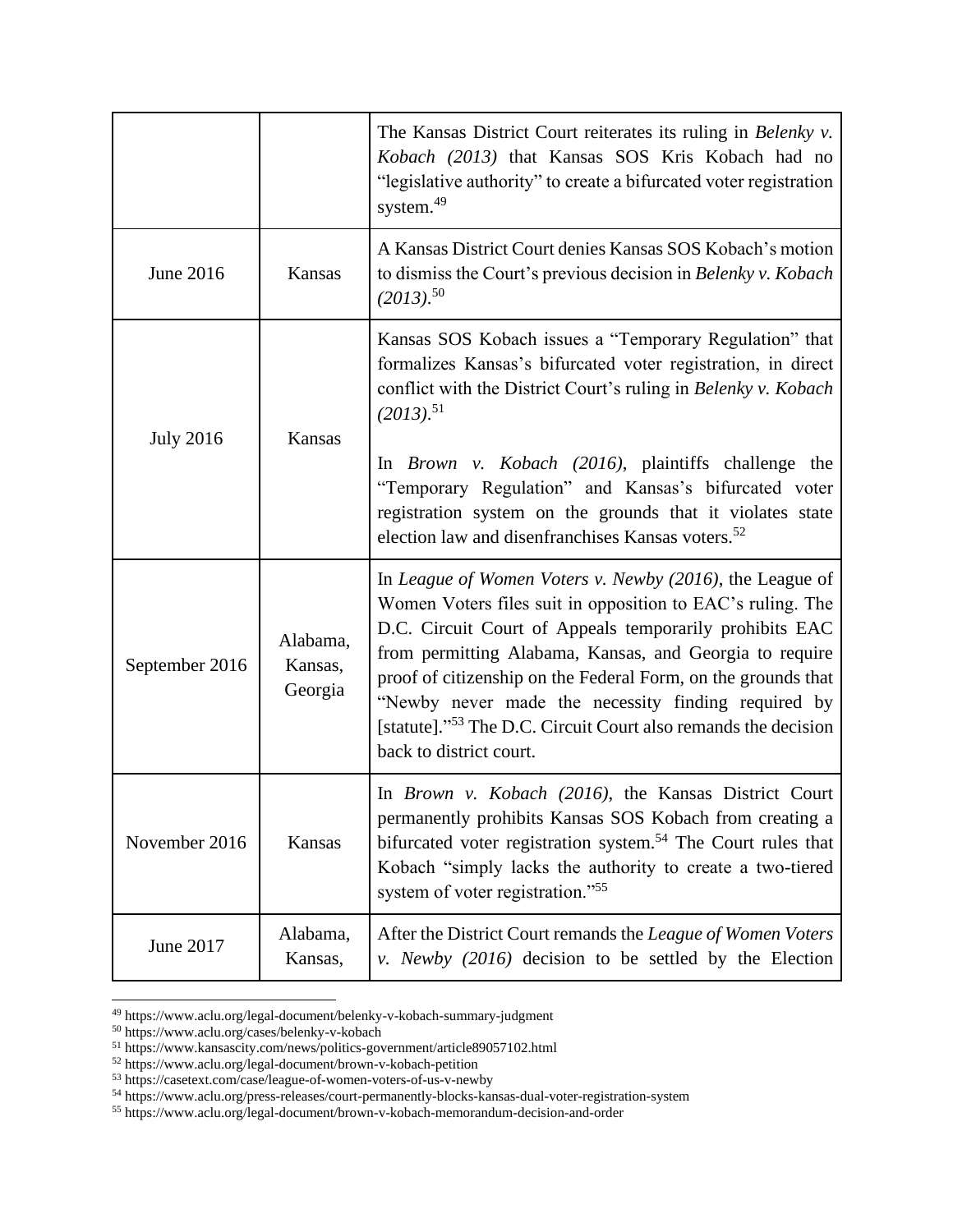|                  |                                | The Kansas District Court reiterates its ruling in Belenky v.<br>Kobach (2013) that Kansas SOS Kris Kobach had no<br>"legislative authority" to create a bifurcated voter registration<br>system. <sup>49</sup>                                                                                                                                                                                                                                                               |
|------------------|--------------------------------|-------------------------------------------------------------------------------------------------------------------------------------------------------------------------------------------------------------------------------------------------------------------------------------------------------------------------------------------------------------------------------------------------------------------------------------------------------------------------------|
| June 2016        | Kansas                         | A Kansas District Court denies Kansas SOS Kobach's motion<br>to dismiss the Court's previous decision in Belenky v. Kobach<br>$(2013).$ <sup>50</sup>                                                                                                                                                                                                                                                                                                                         |
| <b>July 2016</b> | <b>Kansas</b>                  | Kansas SOS Kobach issues a "Temporary Regulation" that<br>formalizes Kansas's bifurcated voter registration, in direct<br>conflict with the District Court's ruling in Belenky v. Kobach<br>$(2013).$ <sup>51</sup><br>In Brown v. Kobach (2016), plaintiffs challenge the<br>"Temporary Regulation" and Kansas's bifurcated voter<br>registration system on the grounds that it violates state<br>election law and disenfranchises Kansas voters. <sup>52</sup>              |
| September 2016   | Alabama,<br>Kansas,<br>Georgia | In League of Women Voters v. Newby (2016), the League of<br>Women Voters files suit in opposition to EAC's ruling. The<br>D.C. Circuit Court of Appeals temporarily prohibits EAC<br>from permitting Alabama, Kansas, and Georgia to require<br>proof of citizenship on the Federal Form, on the grounds that<br>"Newby never made the necessity finding required by<br>[statute]." <sup>53</sup> The D.C. Circuit Court also remands the decision<br>back to district court. |
| November 2016    | Kansas                         | In Brown v. Kobach (2016), the Kansas District Court<br>permanently prohibits Kansas SOS Kobach from creating a<br>bifurcated voter registration system. <sup>54</sup> The Court rules that<br>Kobach "simply lacks the authority to create a two-tiered<br>system of voter registration." <sup>55</sup>                                                                                                                                                                      |
| June 2017        | Alabama,<br>Kansas,            | After the District Court remands the League of Women Voters<br>v. Newby (2016) decision to be settled by the Election                                                                                                                                                                                                                                                                                                                                                         |

<sup>49</sup> https://www.aclu.org/legal-document/belenky-v-kobach-summary-judgment

<sup>50</sup> https://www.aclu.org/cases/belenky-v-kobach

<sup>51</sup> https://www.kansascity.com/news/politics-government/article89057102.html

<sup>52</sup> https://www.aclu.org/legal-document/brown-v-kobach-petition

<sup>53</sup> https://casetext.com/case/league-of-women-voters-of-us-v-newby

<sup>54</sup> https://www.aclu.org/press-releases/court-permanently-blocks-kansas-dual-voter-registration-system

<sup>55</sup> https://www.aclu.org/legal-document/brown-v-kobach-memorandum-decision-and-order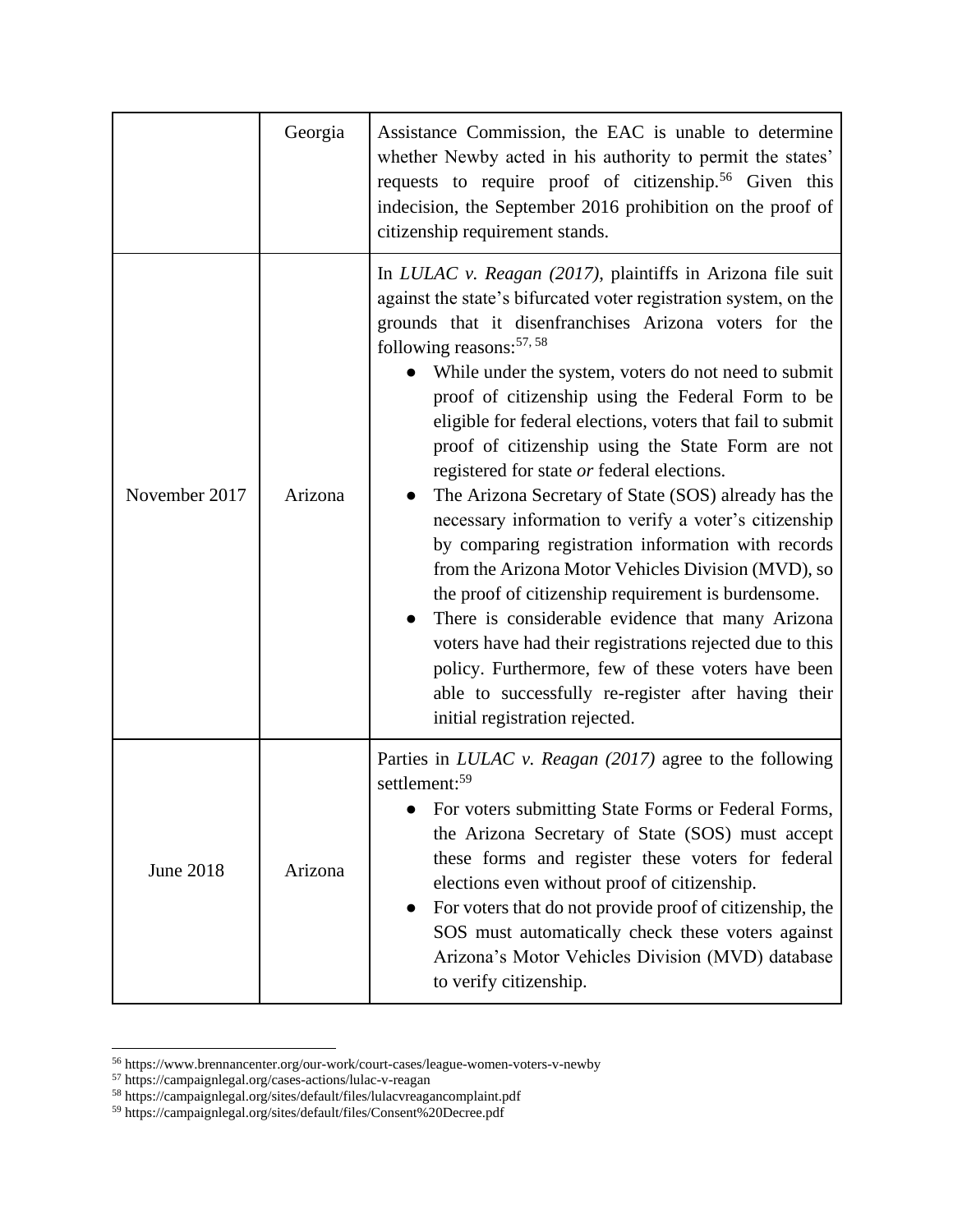|                  | Georgia | Assistance Commission, the EAC is unable to determine<br>whether Newby acted in his authority to permit the states'<br>requests to require proof of citizenship. <sup>56</sup> Given this<br>indecision, the September 2016 prohibition on the proof of<br>citizenship requirement stands.                                                                                                                                                                                                                                                                                                                                                                                                                                                                                                                                                                                                                                                                                                                                                               |
|------------------|---------|----------------------------------------------------------------------------------------------------------------------------------------------------------------------------------------------------------------------------------------------------------------------------------------------------------------------------------------------------------------------------------------------------------------------------------------------------------------------------------------------------------------------------------------------------------------------------------------------------------------------------------------------------------------------------------------------------------------------------------------------------------------------------------------------------------------------------------------------------------------------------------------------------------------------------------------------------------------------------------------------------------------------------------------------------------|
| November 2017    | Arizona | In LULAC v. Reagan (2017), plaintiffs in Arizona file suit<br>against the state's bifurcated voter registration system, on the<br>grounds that it disenfranchises Arizona voters for the<br>following reasons: $57, 58$<br>While under the system, voters do not need to submit<br>proof of citizenship using the Federal Form to be<br>eligible for federal elections, voters that fail to submit<br>proof of citizenship using the State Form are not<br>registered for state or federal elections.<br>The Arizona Secretary of State (SOS) already has the<br>necessary information to verify a voter's citizenship<br>by comparing registration information with records<br>from the Arizona Motor Vehicles Division (MVD), so<br>the proof of citizenship requirement is burdensome.<br>There is considerable evidence that many Arizona<br>voters have had their registrations rejected due to this<br>policy. Furthermore, few of these voters have been<br>able to successfully re-register after having their<br>initial registration rejected. |
| <b>June 2018</b> | Arizona | Parties in <i>LULAC v. Reagan (2017)</i> agree to the following<br>settlement: <sup>59</sup><br>For voters submitting State Forms or Federal Forms,<br>the Arizona Secretary of State (SOS) must accept<br>these forms and register these voters for federal<br>elections even without proof of citizenship.<br>For voters that do not provide proof of citizenship, the<br>SOS must automatically check these voters against<br>Arizona's Motor Vehicles Division (MVD) database<br>to verify citizenship.                                                                                                                                                                                                                                                                                                                                                                                                                                                                                                                                              |

<sup>56</sup> https://www.brennancenter.org/our-work/court-cases/league-women-voters-v-newby

<sup>57</sup> https://campaignlegal.org/cases-actions/lulac-v-reagan

<sup>58</sup> https://campaignlegal.org/sites/default/files/lulacvreagancomplaint.pdf

<sup>59</sup> https://campaignlegal.org/sites/default/files/Consent%20Decree.pdf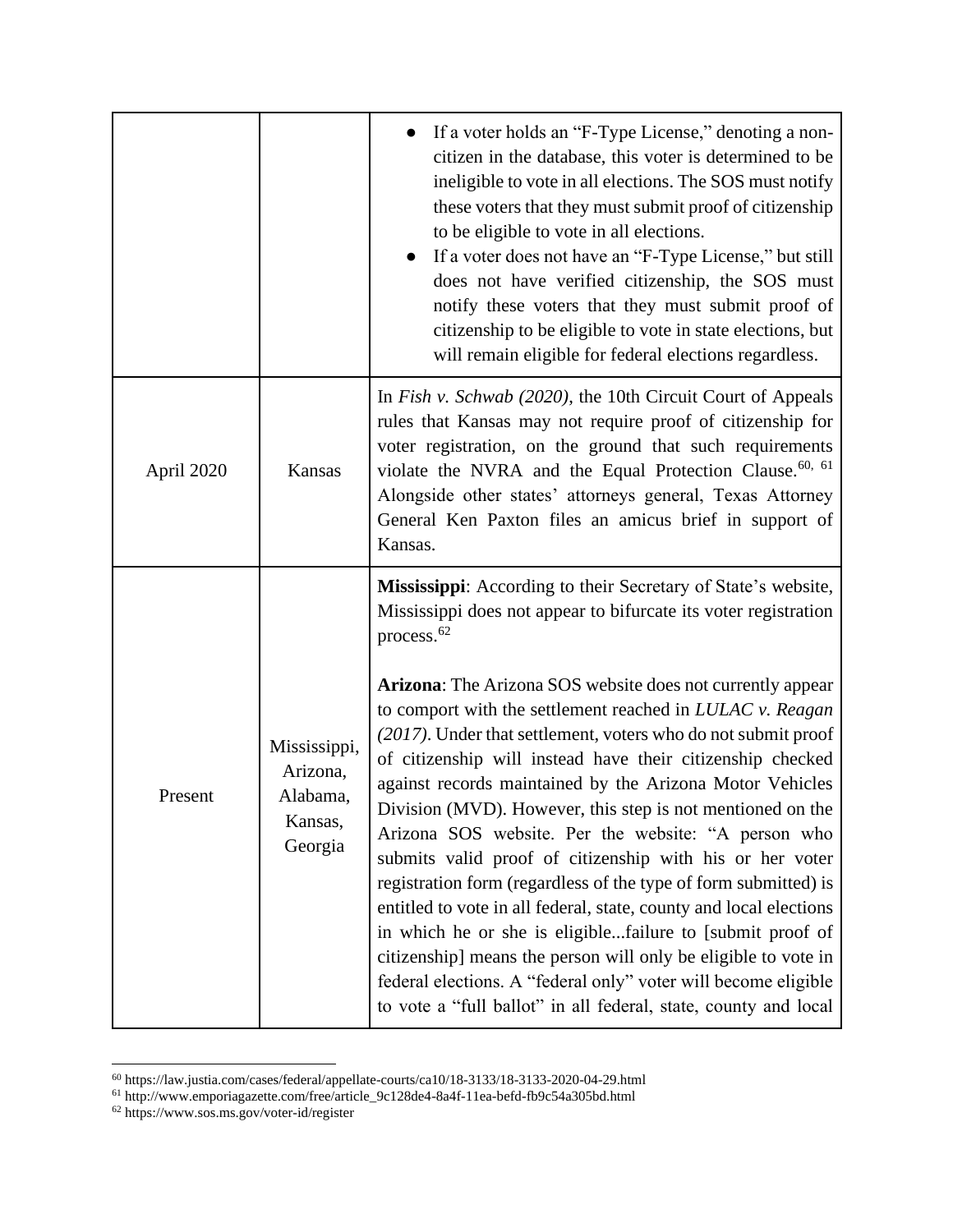|            |                                                            | If a voter holds an "F-Type License," denoting a non-<br>citizen in the database, this voter is determined to be<br>ineligible to vote in all elections. The SOS must notify<br>these voters that they must submit proof of citizenship<br>to be eligible to vote in all elections.<br>If a voter does not have an "F-Type License," but still<br>$\bullet$<br>does not have verified citizenship, the SOS must<br>notify these voters that they must submit proof of<br>citizenship to be eligible to vote in state elections, but<br>will remain eligible for federal elections regardless.                                                                                                                                                                                                                                                                                                                                                                                                                                                                                  |
|------------|------------------------------------------------------------|--------------------------------------------------------------------------------------------------------------------------------------------------------------------------------------------------------------------------------------------------------------------------------------------------------------------------------------------------------------------------------------------------------------------------------------------------------------------------------------------------------------------------------------------------------------------------------------------------------------------------------------------------------------------------------------------------------------------------------------------------------------------------------------------------------------------------------------------------------------------------------------------------------------------------------------------------------------------------------------------------------------------------------------------------------------------------------|
| April 2020 | Kansas                                                     | In Fish v. Schwab (2020), the 10th Circuit Court of Appeals<br>rules that Kansas may not require proof of citizenship for<br>voter registration, on the ground that such requirements<br>violate the NVRA and the Equal Protection Clause. <sup>60, 61</sup><br>Alongside other states' attorneys general, Texas Attorney<br>General Ken Paxton files an amicus brief in support of<br>Kansas.                                                                                                                                                                                                                                                                                                                                                                                                                                                                                                                                                                                                                                                                                 |
| Present    | Mississippi,<br>Arizona,<br>Alabama,<br>Kansas,<br>Georgia | Mississippi: According to their Secretary of State's website,<br>Mississippi does not appear to bifurcate its voter registration<br>process. <sup>62</sup><br>Arizona: The Arizona SOS website does not currently appear<br>to comport with the settlement reached in LULAC v. Reagan<br>(2017). Under that settlement, voters who do not submit proof<br>of citizenship will instead have their citizenship checked<br>against records maintained by the Arizona Motor Vehicles<br>Division (MVD). However, this step is not mentioned on the<br>Arizona SOS website. Per the website: "A person who<br>submits valid proof of citizenship with his or her voter<br>registration form (regardless of the type of form submitted) is<br>entitled to vote in all federal, state, county and local elections<br>in which he or she is eligiblefailure to [submit proof of<br>citizenship] means the person will only be eligible to vote in<br>federal elections. A "federal only" voter will become eligible<br>to vote a "full ballot" in all federal, state, county and local |

<sup>60</sup> https://law.justia.com/cases/federal/appellate-courts/ca10/18-3133/18-3133-2020-04-29.html

<sup>61</sup> http://www.emporiagazette.com/free/article\_9c128de4-8a4f-11ea-befd-fb9c54a305bd.html

<sup>62</sup> https://www.sos.ms.gov/voter-id/register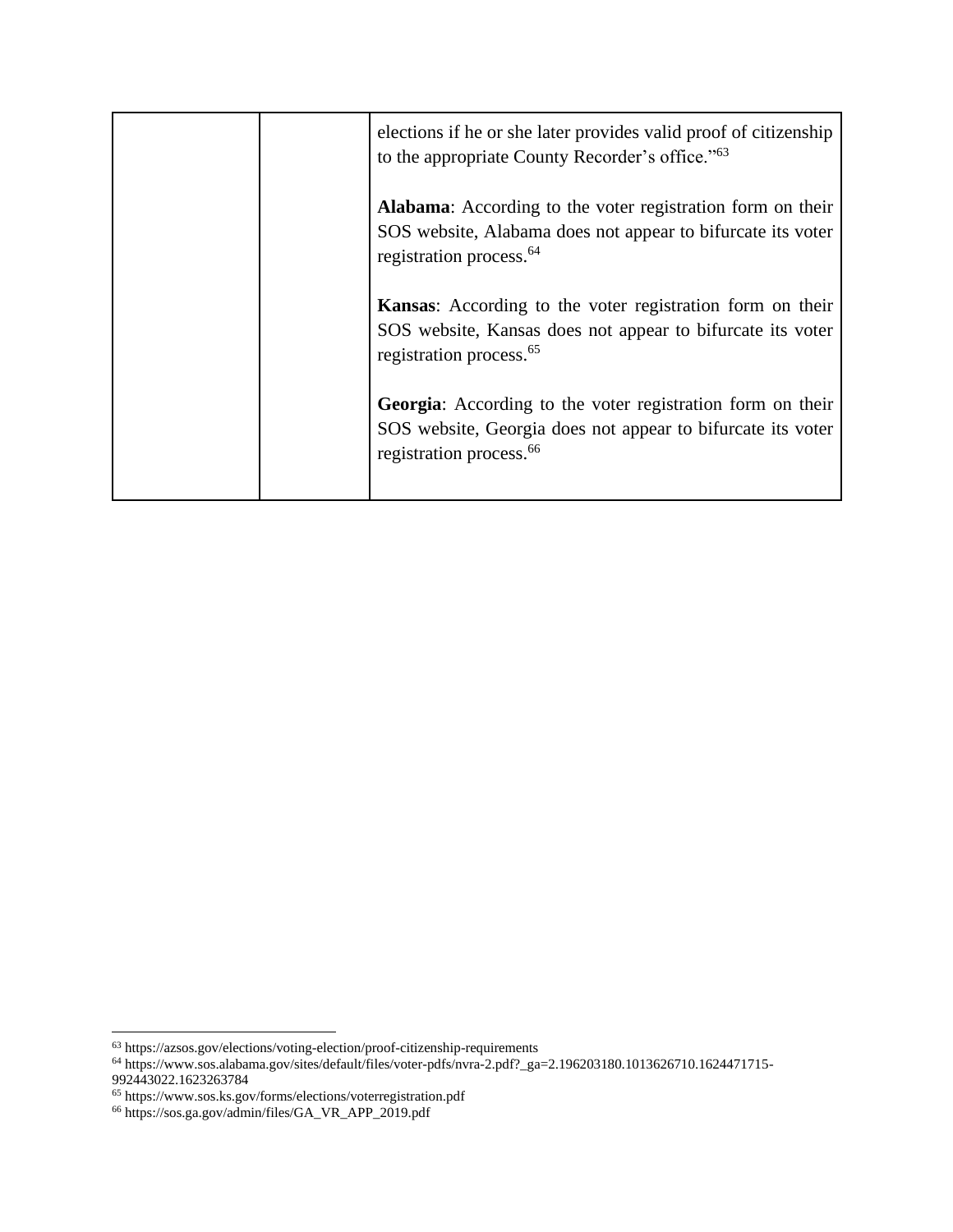| elections if he or she later provides valid proof of citizenship<br>to the appropriate County Recorder's office." <sup>63</sup>                                         |
|-------------------------------------------------------------------------------------------------------------------------------------------------------------------------|
| <b>Alabama:</b> According to the voter registration form on their<br>SOS website, Alabama does not appear to bifurcate its voter<br>registration process. <sup>64</sup> |
| Kansas: According to the voter registration form on their<br>SOS website, Kansas does not appear to bifurcate its voter<br>registration process. <sup>65</sup>          |
| Georgia: According to the voter registration form on their<br>SOS website, Georgia does not appear to bifurcate its voter<br>registration process. <sup>66</sup>        |

<sup>63</sup> https://azsos.gov/elections/voting-election/proof-citizenship-requirements

<sup>64</sup> https://www.sos.alabama.gov/sites/default/files/voter-pdfs/nvra-2.pdf?\_ga=2.196203180.1013626710.1624471715- 992443022.1623263784

<sup>65</sup> https://www.sos.ks.gov/forms/elections/voterregistration.pdf

<sup>66</sup> https://sos.ga.gov/admin/files/GA\_VR\_APP\_2019.pdf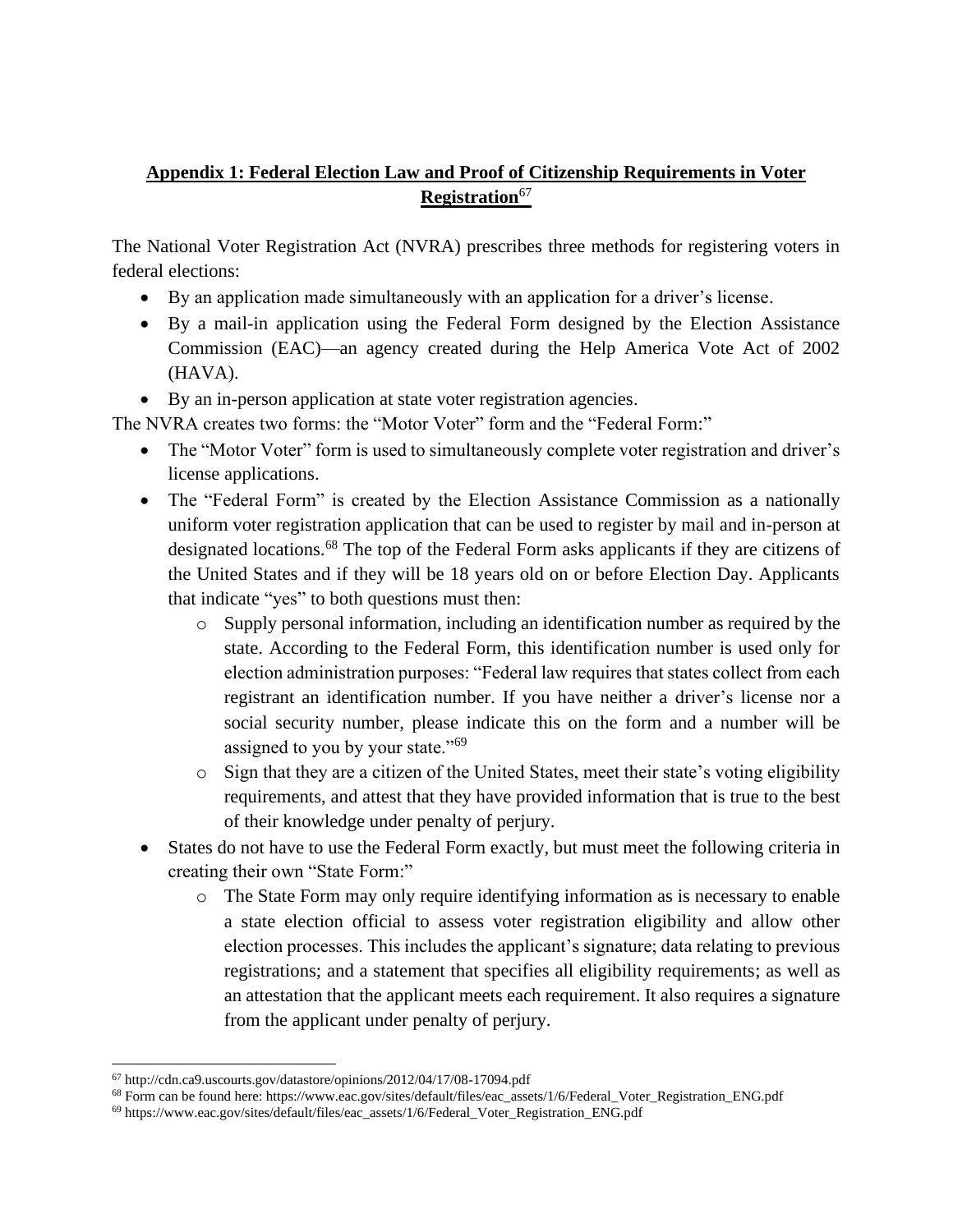# **Appendix 1: Federal Election Law and Proof of Citizenship Requirements in Voter Registration**<sup>67</sup>

The National Voter Registration Act (NVRA) prescribes three methods for registering voters in federal elections:

- By an application made simultaneously with an application for a driver's license.
- By a mail-in application using the Federal Form designed by the Election Assistance Commission (EAC)—an agency created during the Help America Vote Act of 2002 (HAVA).
- By an in-person application at state voter registration agencies.

The NVRA creates two forms: the "Motor Voter" form and the "Federal Form:"

- The "Motor Voter" form is used to simultaneously complete voter registration and driver's license applications.
- The "Federal Form" is created by the Election Assistance Commission as a nationally uniform voter registration application that can be used to register by mail and in-person at designated locations.<sup>68</sup> The top of the Federal Form asks applicants if they are citizens of the United States and if they will be 18 years old on or before Election Day. Applicants that indicate "yes" to both questions must then:
	- o Supply personal information, including an identification number as required by the state. According to the Federal Form, this identification number is used only for election administration purposes: "Federal law requires that states collect from each registrant an identification number. If you have neither a driver's license nor a social security number, please indicate this on the form and a number will be assigned to you by your state."<sup>69</sup>
	- o Sign that they are a citizen of the United States, meet their state's voting eligibility requirements, and attest that they have provided information that is true to the best of their knowledge under penalty of perjury.
- States do not have to use the Federal Form exactly, but must meet the following criteria in creating their own "State Form:"
	- o The State Form may only require identifying information as is necessary to enable a state election official to assess voter registration eligibility and allow other election processes. This includes the applicant's signature; data relating to previous registrations; and a statement that specifies all eligibility requirements; as well as an attestation that the applicant meets each requirement. It also requires a signature from the applicant under penalty of perjury.

<sup>67</sup> http://cdn.ca9.uscourts.gov/datastore/opinions/2012/04/17/08-17094.pdf

<sup>68</sup> Form can be found here: https://www.eac.gov/sites/default/files/eac\_assets/1/6/Federal\_Voter\_Registration\_ENG.pdf

<sup>69</sup> https://www.eac.gov/sites/default/files/eac\_assets/1/6/Federal\_Voter\_Registration\_ENG.pdf